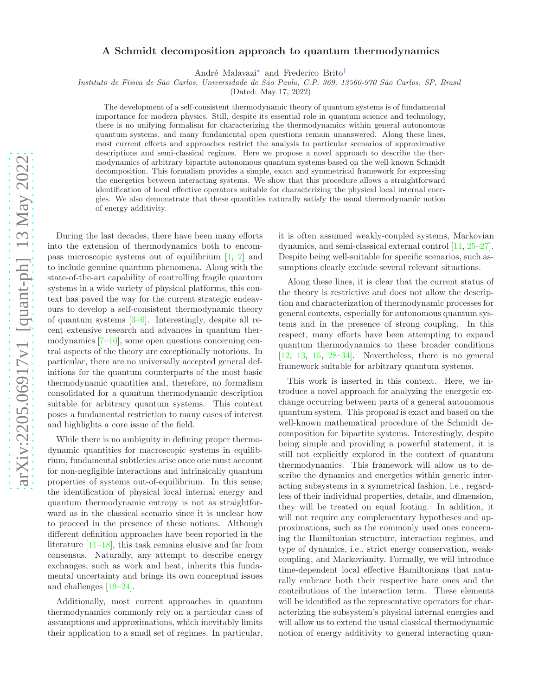# A Schmidt decomposition approach to quantum thermodynamics

André Malavazi<sup>[∗](#page-4-0)</sup> and Frederico Brito<sup>[†](#page-4-1)</sup>

Instituto de F´ısica de S˜ao Carlos, Universidade de S˜ao Paulo, C.P. 369, 13560-970 S˜ao Carlos, SP, Brasil

(Dated: May 17, 2022)

The development of a self-consistent thermodynamic theory of quantum systems is of fundamental importance for modern physics. Still, despite its essential role in quantum science and technology, there is no unifying formalism for characterizing the thermodynamics within general autonomous quantum systems, and many fundamental open questions remain unanswered. Along these lines, most current efforts and approaches restrict the analysis to particular scenarios of approximative descriptions and semi-classical regimes. Here we propose a novel approach to describe the thermodynamics of arbitrary bipartite autonomous quantum systems based on the well-known Schmidt decomposition. This formalism provides a simple, exact and symmetrical framework for expressing the energetics between interacting systems. We show that this procedure allows a straightforward identification of local effective operators suitable for characterizing the physical local internal energies. We also demonstrate that these quantities naturally satisfy the usual thermodynamic notion of energy additivity.

During the last decades, there have been many efforts into the extension of thermodynamics both to encompass microscopic systems out of equilibrium [\[1,](#page-4-2) [2\]](#page-4-3) and to include genuine quantum phenomena. Along with the state-of-the-art capability of controlling fragile quantum systems in a wide variety of physical platforms, this context has paved the way for the current strategic endeavours to develop a self-consistent thermodynamic theory of quantum systems [\[3](#page-4-4)[–6\]](#page-4-5). Interestingly, despite all recent extensive research and advances in quantum thermodynamics [\[7](#page-4-6)[–10\]](#page-5-0), some open questions concerning central aspects of the theory are exceptionally notorious. In particular, there are no universally accepted general definitions for the quantum counterparts of the most basic thermodynamic quantities and, therefore, no formalism consolidated for a quantum thermodynamic description suitable for arbitrary quantum systems. This context poses a fundamental restriction to many cases of interest and highlights a core issue of the field.

While there is no ambiguity in defining proper thermodynamic quantities for macroscopic systems in equilibrium, fundamental subtleties arise once one must account for non-negligible interactions and intrinsically quantum properties of systems out-of-equilibrium. In this sense, the identification of physical local internal energy and quantum thermodynamic entropy is not as straightforward as in the classical scenario since it is unclear how to proceed in the presence of these notions. Although different definition approaches have been reported in the literature [\[11](#page-5-1)[–18\]](#page-5-2), this task remains elusive and far from consensus. Naturally, any attempt to describe energy exchanges, such as work and heat, inherits this fundamental uncertainty and brings its own conceptual issues and challenges [\[19](#page-5-3)[–24\]](#page-5-4).

Additionally, most current approaches in quantum thermodynamics commonly rely on a particular class of assumptions and approximations, which inevitably limits their application to a small set of regimes. In particular, it is often assumed weakly-coupled systems, Markovian dynamics, and semi-classical external control [\[11](#page-5-1), [25](#page-5-5)[–27\]](#page-5-6). Despite being well-suitable for specific scenarios, such assumptions clearly exclude several relevant situations.

Along these lines, it is clear that the current status of the theory is restrictive and does not allow the description and characterization of thermodynamic processes for general contexts, especially for autonomous quantum systems and in the presence of strong coupling. In this respect, many efforts have been attempting to expand quantum thermodynamics to these broader conditions  $[12, 13, 15, 28-34]$  $[12, 13, 15, 28-34]$  $[12, 13, 15, 28-34]$  $[12, 13, 15, 28-34]$  $[12, 13, 15, 28-34]$  $[12, 13, 15, 28-34]$  $[12, 13, 15, 28-34]$  $[12, 13, 15, 28-34]$ . Nevertheless, there is no general framework suitable for arbitrary quantum systems.

This work is inserted in this context. Here, we introduce a novel approach for analyzing the energetic exchange occurring between parts of a general autonomous quantum system. This proposal is exact and based on the well-known mathematical procedure of the Schmidt decomposition for bipartite systems. Interestingly, despite being simple and providing a powerful statement, it is still not explicitly explored in the context of quantum thermodynamics. This framework will allow us to describe the dynamics and energetics within generic interacting subsystems in a symmetrical fashion, i.e., regardless of their individual properties, details, and dimension, they will be treated on equal footing. In addition, it will not require any complementary hypotheses and approximations, such as the commonly used ones concerning the Hamiltonian structure, interaction regimes, and type of dynamics, i.e., strict energy conservation, weakcoupling, and Markovianity. Formally, we will introduce time-dependent local effective Hamiltonians that naturally embrace both their respective bare ones and the contributions of the interaction term. These elements will be identified as the representative operators for characterizing the subsystem's physical internal energies and will allow us to extend the usual classical thermodynamic notion of energy additivity to general interacting quan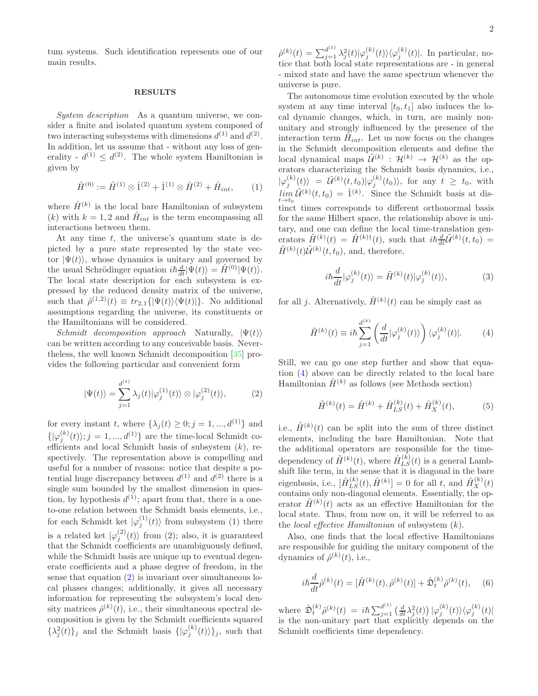tum systems. Such identification represents one of our main results.

## RESULTS

System description As a quantum universe, we consider a finite and isolated quantum system composed of two interacting subsystems with dimensions  $d^{(1)}$  and  $d^{(2)}$ . In addition, let us assume that - without any loss of generality -  $d^{(1)} \leq d^{(2)}$ . The whole system Hamiltonian is given by

$$
\hat{H}^{(0)} := \hat{H}^{(1)} \otimes \hat{1}^{(2)} + \hat{1}^{(1)} \otimes \hat{H}^{(2)} + \hat{H}_{int}, \qquad (1)
$$

where  $\hat{H}^{(k)}$  is the local bare Hamiltonian of subsystem (k) with  $k = 1, 2$  and  $\hat{H}_{int}$  is the term encompassing all interactions between them.

At any time  $t$ , the universe's quantum state is depicted by a pure state represented by the state vector  $|\Psi(t)\rangle$ , whose dynamics is unitary and governed by the usual Schrödinger equation  $i\hbar \frac{d}{dt} |\Psi(t)\rangle = \hat{H}^{(0)} |\Psi(t)\rangle.$ The local state description for each subsystem is expressed by the reduced density matrix of the universe, such that  $\hat{\rho}^{(1,2)}(t) \equiv tr_{2,1}(|\Psi(t)\rangle \langle \Psi(t)|)$ . No additional assumptions regarding the universe, its constituents or the Hamiltonians will be considered.

Schmidt decomposition approach Naturally,  $|\Psi(t)\rangle$ can be written according to any conceivable basis. Nevertheless, the well known Schmidt decomposition [\[35](#page-5-12)] provides the following particular and convenient form

<span id="page-1-0"></span>
$$
|\Psi(t)\rangle = \sum_{j=1}^{d^{(1)}} \lambda_j(t) |\varphi_j^{(1)}(t)\rangle \otimes |\varphi_j^{(2)}(t)\rangle, \tag{2}
$$

for every instant t, where  $\{\lambda_j(t) \geq 0; j = 1, ..., d^{(1)}\}$  and  ${\vert \varphi_j^{(k)}(t) \rangle}; j = 1, ..., d^{(1)}$  are the time-local Schmidt coefficients and local Schmidt basis of subsystem  $(k)$ , respectively. The representation above is compelling and useful for a number of reasons: notice that despite a potential huge discrepancy between  $d^{(1)}$  and  $d^{(2)}$  there is a single sum bounded by the smallest dimension in question, by hypothesis  $d^{(1)}$ ; apart from that, there is a oneto-one relation between the Schmidt basis elements, i.e., for each Schmidt ket  $|\varphi_j^{(1)}(t)\rangle$  from subsystem (1) there is a related ket  $|\varphi_j^{(2)}(t)\rangle$  from (2); also, it is guaranteed that the Schmidt coefficients are unambiguously defined, while the Schmidt basis are unique up to eventual degenerate coefficients and a phase degree of freedom, in the sense that equation  $(2)$  is invariant over simultaneous local phases changes; additionally, it gives all necessary information for representing the subsystem's local density matrices  $\hat{\rho}^{(k)}(t)$ , i.e., their simultaneous spectral decomposition is given by the Schmidt coefficients squared  $\{\lambda_j^2(t)\}_j$  and the Schmidt basis  $\{\ket{\varphi_j^{(k)}(t)}\}_j$ , such that

 $\hat{\rho}^{(k)}(t) = \sum_{j=1}^{d^{(1)}} \lambda_j^2(t) |\varphi_j^{(k)}(t)\rangle \langle \varphi_j^{(k)}(t)|$ . In particular, notice that both local state representations are - in general - mixed state and have the same spectrum whenever the universe is pure.

The autonomous time evolution executed by the whole system at any time interval  $[t_0, t_1]$  also induces the local dynamic changes, which, in turn, are mainly nonunitary and strongly influenced by the presence of the interaction term  $\tilde{H}_{int}$ . Let us now focus on the changes in the Schmidt decomposition elements and define the local dynamical maps  $\tilde{\mathcal{U}}^{(k)} : \mathcal{H}^{(k)} \to \mathcal{H}^{(k)}$  as the operators characterizing the Schmidt basis dynamics, i.e.,  $|\varphi_j^{(k)}(t)\rangle = \tilde{\mathcal{U}}^{(k)}(t,t_0)|\varphi_j^{(k)}(t_0)\rangle$ , for any  $t \geq t_0$ , with  $\lim_{t\to t_0} \tilde{\mathcal{U}}^{(k)}(t,t_0) = \hat{1}^{(k)}$ . Since the Schmidt basis at distinct times corresponds to different orthonormal basis for the same Hilbert space, the relationship above is unitary, and one can define the local time-translation generators  $\tilde{H}^{(k)}(t) = \tilde{H}^{(k)\dagger}(t)$ , such that  $i\hbar \frac{d}{dt}\tilde{\mathcal{U}}^{(k)}(t,t_0) =$  $\tilde{H}^{(k)}(t)\tilde{\mathcal{U}}^{(k)}(t,t_0),$  and, therefore,

<span id="page-1-4"></span>
$$
i\hbar \frac{d}{dt} |\varphi_j^{(k)}(t)\rangle = \tilde{H}^{(k)}(t) |\varphi_j^{(k)}(t)\rangle, \tag{3}
$$

for all j. Alternatively,  $\tilde{H}^{(k)}(t)$  can be simply cast as

<span id="page-1-1"></span>
$$
\tilde{H}^{(k)}(t) \equiv i\hbar \sum_{j=1}^{d^{(k)}} \left( \frac{d}{dt} |\varphi_j^{(k)}(t)\rangle \right) \langle \varphi_j^{(k)}(t)|. \tag{4}
$$

Still, we can go one step further and show that equation [\(4\)](#page-1-1) above can be directly related to the local bare Hamiltonian  $\hat{H}^{(k)}$  as follows (see Methods section)

<span id="page-1-3"></span>
$$
\tilde{H}^{(k)}(t) = \hat{H}^{(k)} + \hat{H}_{LS}^{(k)}(t) + \hat{H}_X^{(k)}(t),
$$
\n(5)

i.e.,  $\tilde{H}^{(k)}(t)$  can be split into the sum of three distinct elements, including the bare Hamiltonian. Note that the additional operators are responsible for the timedependency of  $\tilde{H}^{(k)}(t)$ , where  $\hat{H}_{LS}^{(k)}(t)$  is a general Lambshift like term, in the sense that it is diagonal in the bare eigenbasis, i.e.,  $[\hat{H}_{LS}^{(k)}(t), \hat{H}^{(k)}] = 0$  for all t, and  $\hat{H}_{X}^{(k)}(t)$ contains only non-diagonal elements. Essentially, the operator  $\tilde{H}^{(k)}(t)$  acts as an effective Hamiltonian for the local state. Thus, from now on, it will be referred to as the *local effective Hamiltonian* of subsystem  $(k)$ .

Also, one finds that the local effective Hamiltonians are responsible for guiding the unitary component of the dynamics of  $\hat{\rho}^{(k)}(t)$ , i.e.,

<span id="page-1-2"></span>
$$
i\hbar \frac{d}{dt}\hat{\rho}^{(k)}(t) = [\tilde{H}^{(k)}(t), \hat{\rho}^{(k)}(t)] + \hat{\mathfrak{D}}_t^{(k)}\hat{\rho}^{(k)}(t), \quad (6)
$$

where  $\hat{\mathfrak{D}}_t^{(k)}\hat{\rho}^{(k)}(t) = i\hbar \sum_{j=1}^{d^{(1)}} \left(\frac{d}{dt}\lambda_j^2(t)\right) |\varphi_j^{(k)}(t)\rangle\langle\varphi_j^{(k)}(t)|$ is the non-unitary part that explicitly depends on the Schmidt coefficients time dependency.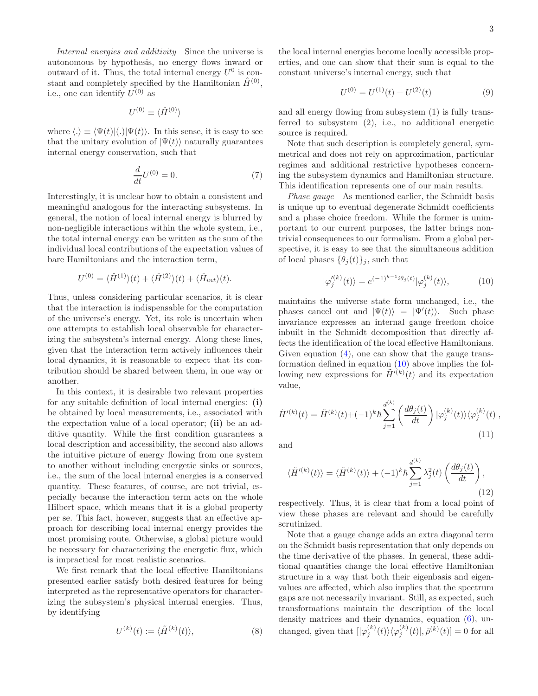Internal energies and additivity Since the universe is autonomous by hypothesis, no energy flows inward or outward of it. Thus, the total internal energy  $U^0$  is constant and completely specified by the Hamiltonian  $\hat{H}^{(0)}$ , i.e., one can identify  $U^{(0)}$  as

$$
U^{(0)} \equiv \langle \hat{H}^{(0)} \rangle
$$

where  $\langle . \rangle \equiv \langle \Psi(t) |(.) | \Psi(t) \rangle$ . In this sense, it is easy to see that the unitary evolution of  $|\Psi(t)\rangle$  naturally guarantees internal energy conservation, such that

$$
\frac{d}{dt}U^{(0)} = 0.\t\t(7)
$$

Interestingly, it is unclear how to obtain a consistent and meaningful analogous for the interacting subsystems. In general, the notion of local internal energy is blurred by non-negligible interactions within the whole system, i.e., the total internal energy can be written as the sum of the individual local contributions of the expectation values of bare Hamiltonians and the interaction term,

$$
U^{(0)} = \langle \hat{H}^{(1)} \rangle(t) + \langle \hat{H}^{(2)} \rangle(t) + \langle \hat{H}_{int} \rangle(t).
$$

Thus, unless considering particular scenarios, it is clear that the interaction is indispensable for the computation of the universe's energy. Yet, its role is uncertain when one attempts to establish local observable for characterizing the subsystem's internal energy. Along these lines, given that the interaction term actively influences their local dynamics, it is reasonable to expect that its contribution should be shared between them, in one way or another.

In this context, it is desirable two relevant properties for any suitable definition of local internal energies: (i) be obtained by local measurements, i.e., associated with the expectation value of a local operator; (ii) be an additive quantity. While the first condition guarantees a local description and accessibility, the second also allows the intuitive picture of energy flowing from one system to another without including energetic sinks or sources, i.e., the sum of the local internal energies is a conserved quantity. These features, of course, are not trivial, especially because the interaction term acts on the whole Hilbert space, which means that it is a global property per se. This fact, however, suggests that an effective approach for describing local internal energy provides the most promising route. Otherwise, a global picture would be necessary for characterizing the energetic flux, which is impractical for most realistic scenarios.

We first remark that the local effective Hamiltonians presented earlier satisfy both desired features for being interpreted as the representative operators for characterizing the subsystem's physical internal energies. Thus, by identifying

$$
U^{(k)}(t) := \langle \tilde{H}^{(k)}(t) \rangle, \tag{8}
$$

the local internal energies become locally accessible properties, and one can show that their sum is equal to the constant universe's internal energy, such that

<span id="page-2-2"></span>
$$
U^{(0)} = U^{(1)}(t) + U^{(2)}(t)
$$
\n(9)

and all energy flowing from subsystem (1) is fully transferred to subsystem (2), i.e., no additional energetic source is required.

Note that such description is completely general, symmetrical and does not rely on approximation, particular regimes and additional restrictive hypotheses concerning the subsystem dynamics and Hamiltonian structure. This identification represents one of our main results.

Phase gauge As mentioned earlier, the Schmidt basis is unique up to eventual degenerate Schmidt coefficients and a phase choice freedom. While the former is unimportant to our current purposes, the latter brings nontrivial consequences to our formalism. From a global perspective, it is easy to see that the simultaneous addition of local phases  $\{\theta_i(t)\}_i$ , such that

<span id="page-2-0"></span>
$$
|\varphi_j^{\prime(k)}(t)\rangle = e^{(-1)^{k-1}i\theta_j(t)}|\varphi_j^{(k)}(t)\rangle, \tag{10}
$$

maintains the universe state form unchanged, i.e., the phases cancel out and  $|\Psi(t)\rangle = |\Psi'(t)\rangle$ . Such phase invariance expresses an internal gauge freedom choice inbuilt in the Schmidt decomposition that directly affects the identification of the local effective Hamiltonians. Given equation  $(4)$ , one can show that the gauge transformation defined in equation [\(10\)](#page-2-0) above implies the following new expressions for  $\tilde{H}^{\prime(k)}(t)$  and its expectation value,

<span id="page-2-1"></span>
$$
\tilde{H}'^{(k)}(t) = \tilde{H}^{(k)}(t) + (-1)^k \hbar \sum_{j=1}^{d^{(k)}} \left( \frac{d\theta_j(t)}{dt} \right) |\varphi_j^{(k)}(t)\rangle \langle \varphi_j^{(k)}(t)|,
$$
\n(11)

and

<span id="page-2-3"></span>
$$
\langle \tilde{H}'^{(k)}(t) \rangle = \langle \tilde{H}^{(k)}(t) \rangle + (-1)^k \hbar \sum_{j=1}^{d^{(k)}} \lambda_j^2(t) \left( \frac{d\theta_j(t)}{dt} \right), \tag{12}
$$

respectively. Thus, it is clear that from a local point of view these phases are relevant and should be carefully scrutinized.

Note that a gauge change adds an extra diagonal term on the Schmidt basis representation that only depends on the time derivative of the phases. In general, these additional quantities change the local effective Hamiltonian structure in a way that both their eigenbasis and eigenvalues are affected, which also implies that the spectrum gaps are not necessarily invariant. Still, as expected, such transformations maintain the description of the local density matrices and their dynamics, equation [\(6\)](#page-1-2), unchanged, given that  $[|\varphi_j^{(k)}(t)\rangle \langle \varphi_j^{(k)}(t)|, \hat{\rho}^{(k)}(t)] = 0$  for all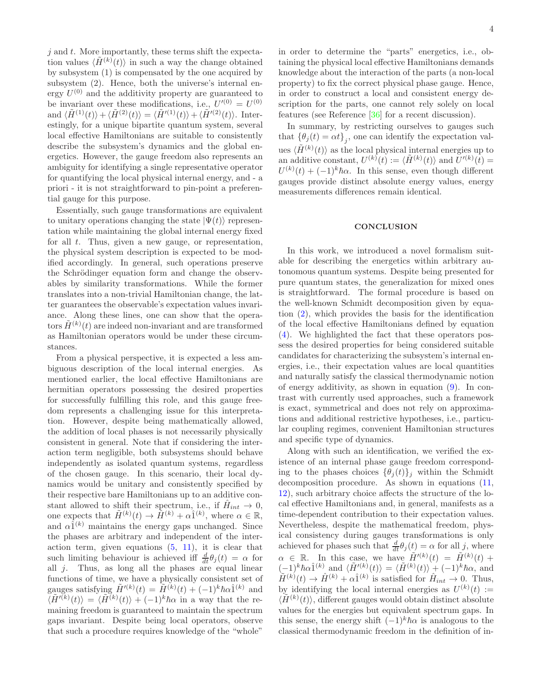$j$  and  $t$ . More importantly, these terms shift the expectation values  $\langle \tilde{H}^{(k)}(t) \rangle$  in such a way the change obtained by subsystem (1) is compensated by the one acquired by subsystem (2). Hence, both the universe's internal energy  $U^{(0)}$  and the additivity property are guaranteed to be invariant over these modifications, i.e.,  $U^{\prime(0)} = U^{(0)}$ and  $\langle \tilde{H}^{(1)}(t)\rangle + \langle \tilde{H}^{(2)}(t)\rangle = \langle \tilde{H}'^{(1)}(t)\rangle + \langle \tilde{H}'^{(2)}(t)\rangle$ . Interestingly, for a unique bipartite quantum system, several local effective Hamiltonians are suitable to consistently describe the subsystem's dynamics and the global energetics. However, the gauge freedom also represents an ambiguity for identifying a single representative operator for quantifying the local physical internal energy, and - a priori - it is not straightforward to pin-point a preferential gauge for this purpose.

Essentially, such gauge transformations are equivalent to unitary operations changing the state  $|\Psi(t)\rangle$  representation while maintaining the global internal energy fixed for all t. Thus, given a new gauge, or representation, the physical system description is expected to be modified accordingly. In general, such operations preserve the Schrödinger equation form and change the observables by similarity transformations. While the former translates into a non-trivial Hamiltonian change, the latter guarantees the observable's expectation values invariance. Along these lines, one can show that the operators  $\tilde{H}^{(k)}(t)$  are indeed non-invariant and are transformed as Hamiltonian operators would be under these circumstances.

From a physical perspective, it is expected a less ambiguous description of the local internal energies. As mentioned earlier, the local effective Hamiltonians are hermitian operators possessing the desired properties for successfully fulfilling this role, and this gauge freedom represents a challenging issue for this interpretation. However, despite being mathematically allowed, the addition of local phases is not necessarily physically consistent in general. Note that if considering the interaction term negligible, both subsystems should behave independently as isolated quantum systems, regardless of the chosen gauge. In this scenario, their local dynamics would be unitary and consistently specified by their respective bare Hamiltonians up to an additive constant allowed to shift their spectrum, i.e., if  $\hat{H}_{int} \rightarrow 0$ , one expects that  $\tilde{H}^{(k)}(t) \to \tilde{H}^{(k)} + \alpha \hat{1}^{(k)}$ , where  $\alpha \in \mathbb{R}$ , and  $\alpha \hat{1}^{(k)}$  maintains the energy gaps unchanged. Since the phases are arbitrary and independent of the interaction term, given equations  $(5, 11)$  $(5, 11)$ , it is clear that such limiting behaviour is achieved iff  $\frac{d}{dt}\theta_j(t) = \alpha$  for all  $j$ . Thus, as long all the phases are equal linear functions of time, we have a physically consistent set of gauges satisfying  $\tilde{H}'^{(k)}(t) = \tilde{H}^{(k)}(t) + (-1)^k \hbar \alpha \hat{1}^{(k)}$  and  $\langle \tilde{H}^{\prime(k)}(t)\rangle = \langle \tilde{H}^{(k)}(t)\rangle + (-1)^k \hbar \alpha$  in a way that the remaining freedom is guaranteed to maintain the spectrum gaps invariant. Despite being local operators, observe that such a procedure requires knowledge of the "whole"

in order to determine the "parts" energetics, i.e., obtaining the physical local effective Hamiltonians demands knowledge about the interaction of the parts (a non-local property) to fix the correct physical phase gauge. Hence, in order to construct a local and consistent energy description for the parts, one cannot rely solely on local features (see Reference [\[36\]](#page-5-13) for a recent discussion).

In summary, by restricting ourselves to gauges such that  $\{\theta_j(t) = \alpha t\}_j$ , one can identify the expectation values  $\langle \tilde{H}^{(k)}(t) \rangle$  as the local physical internal energies up to an additive constant,  $U^{(k)}(t) := \langle \tilde{H}^{(k)}(t) \rangle$  and  $U'^{(k)}(t) =$  $U^{(k)}(t) + (-1)^k \hbar \alpha$ . In this sense, even though different gauges provide distinct absolute energy values, energy measurements differences remain identical.

## **CONCLUSION**

In this work, we introduced a novel formalism suitable for describing the energetics within arbitrary autonomous quantum systems. Despite being presented for pure quantum states, the generalization for mixed ones is straightforward. The formal procedure is based on the well-known Schmidt decomposition given by equation [\(2\)](#page-1-0), which provides the basis for the identification of the local effective Hamiltonians defined by equation [\(4\)](#page-1-1). We highlighted the fact that these operators possess the desired properties for being considered suitable candidates for characterizing the subsystem's internal energies, i.e., their expectation values are local quantities and naturally satisfy the classical thermodynamic notion of energy additivity, as shown in equation [\(9\)](#page-2-2). In contrast with currently used approaches, such a framework is exact, symmetrical and does not rely on approximations and additional restrictive hypotheses, i.e., particular coupling regimes, convenient Hamiltonian structures and specific type of dynamics.

Along with such an identification, we verified the existence of an internal phase gauge freedom corresponding to the phases choices  $\{\theta_j(t)\}_j$  within the Schmidt decomposition procedure. As shown in equations [\(11,](#page-2-1) [12\)](#page-2-3), such arbitrary choice affects the structure of the local effective Hamiltonians and, in general, manifests as a time-dependent contribution to their expectation values. Nevertheless, despite the mathematical freedom, physical consistency during gauges transformations is only achieved for phases such that  $\frac{d}{dt}\theta_j(t) = \alpha$  for all j, where  $\alpha \in \mathbb{R}$ . In this case, we have  $\tilde{H}'^{(k)}(t) = \tilde{H}^{(k)}(t) +$  $(-1)^k \hbar \alpha \hat{1}^{(k)}$  and  $\langle \tilde{H}^{\prime (k)}(t) \rangle = \langle \tilde{H}^{(k)}(t) \rangle + (-1)^k \hbar \alpha$ , and  $\tilde{H}^{(k)}(t) \to \hat{H}^{(k)} + \alpha \hat{1}^{(k)}$  is satisfied for  $\hat{H}_{int} \to 0$ . Thus, by identifying the local internal energies as  $U^{(k)}(t) :=$  $\langle \tilde{H}^{(k)}(t) \rangle$ , different gauges would obtain distinct absolute values for the energies but equivalent spectrum gaps. In this sense, the energy shift  $(-1)^{k}\hbar\alpha$  is analogous to the classical thermodynamic freedom in the definition of in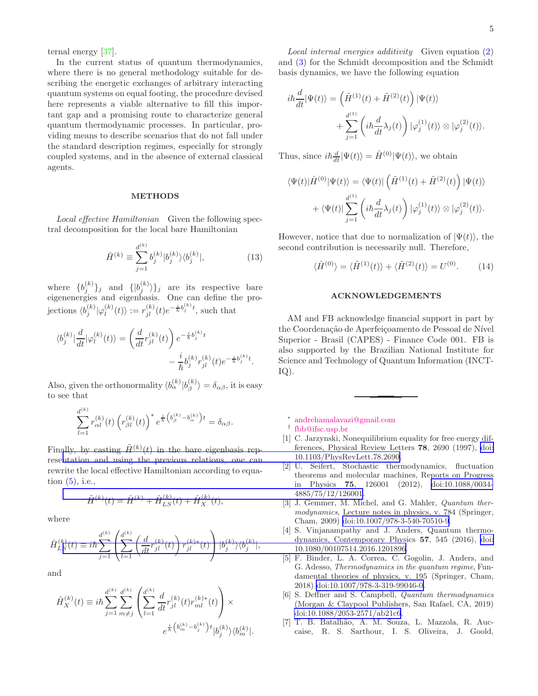ternal energy [\[37\]](#page-5-14).

In the current status of quantum thermodynamics, where there is no general methodology suitable for describing the energetic exchanges of arbitrary interacting quantum systems on equal footing, the procedure devised here represents a viable alternative to fill this important gap and a promising route to characterize general quantum thermodynamic processes. In particular, providing means to describe scenarios that do not fall under the standard description regimes, especially for strongly coupled systems, and in the absence of external classical agents.

#### METHODS

Local effective Hamiltonian Given the following spectral decomposition for the local bare Hamiltonian

$$
\hat{H}^{(k)} \equiv \sum_{j=1}^{d^{(k)}} b_j^{(k)} |b_j^{(k)}\rangle \langle b_j^{(k)}|,\tag{13}
$$

where  $\{b_j^{(k)}\}_j$  and  $\{|b_j^{(k)}\rangle\}_j$  are its respective bare eigenenergies and eigenbasis. One can define the projections  $\langle b_j^{(k)} | \varphi_l^{(k)}(t) \rangle := r_{jl}^{(k)}(t) e^{-\frac{i}{\hbar} b_j^{(k)} t}$ , such that

$$
\langle b_j^{(k)} \vert \frac{d}{dt} \vert \varphi_l^{(k)}(t) \rangle = \left( \frac{d}{dt} r_{jl}^{(k)}(t) \right) e^{-\frac{i}{\hbar} b_j^{(k)} t} - \frac{i}{\hbar} b_j^{(k)} r_{jl}^{(k)}(t) e^{-\frac{i}{\hbar} b_j^{(k)} t}.
$$

Also, given the orthonormality  $\langle b_{\alpha}^{(k)} | b_{\beta}^{(k)} \rangle = \delta_{\alpha\beta}$ , it is easy to see that

$$
\sum_{l=1}^{d^{(k)}} r_{\alpha l}^{(k)}(t) \left( r_{\beta l}^{(k)}(t) \right)^* e^{\frac{i}{\hbar} \left( b_{\beta}^{(k)} - b_{\alpha}^{(k)} \right)t} = \delta_{\alpha \beta}.
$$

Finally, by casting  $\tilde{H}^{(k)}(t)$  in the bare eigenbasis represe[ntation and using the previous relations, one can](https://doi.org/10.1103/PhysRevLett.78.2690) rewrite the local effective Hamiltonian according to equation  $(5)$ , i.e.,

$$
\tilde{H}^{(k)}(t) = \hat{H}^{(k)} + \hat{H}_{LS}^{(k)}(t) + \hat{H}_X^{(k)}(t),
$$

where

$$
\hat{H}_{LS}^{(k)}(t) \equiv i\hbar \sum_{j=1}^{d^{(k)}} \left( \sum_{l=1}^{d^{(k)}} \left( \frac{d}{dt} r_{jl}^{(k)}(t) \right) r_{jl}^{(k)*}(t) \right) |b_j^{(k)}\rangle \langle b_j^{(k)}|,
$$

and

$$
\hat{H}_{X}^{(k)}(t) \equiv i\hbar \sum_{j=1}^{d^{(k)}} \sum_{m \neq j}^{d^{(k)}} \left( \sum_{l=1}^{d^{(k)}} \frac{d}{dt} r_{jl}^{(k)}(t) r_{ml}^{(k)*}(t) \right) \times
$$

$$
e^{\frac{i}{\hbar} \left( b_m^{(k)} - b_j^{(k)} \right) t} |b_j^{(k)}\rangle \langle b_m^{(k)}|.
$$

Local internal energies additivity Given equation [\(2\)](#page-1-0) and [\(3\)](#page-1-4) for the Schmidt decomposition and the Schmidt basis dynamics, we have the following equation

$$
i\hbar \frac{d}{dt} |\Psi(t)\rangle = \left(\tilde{H}^{(1)}(t) + \tilde{H}^{(2)}(t)\right) |\Psi(t)\rangle
$$
  
+ 
$$
\sum_{j=1}^{d^{(1)}} \left(i\hbar \frac{d}{dt} \lambda_j(t)\right) |\varphi_j^{(1)}(t)\rangle \otimes |\varphi_j^{(2)}(t)\rangle.
$$

Thus, since  $i\hbar \frac{d}{dt} |\Psi(t)\rangle = \hat{H}^{(0)} |\Psi(t)\rangle$ , we obtain

$$
\langle \Psi(t) | \hat{H}^{(0)} | \Psi(t) \rangle = \langle \Psi(t) | \left( \tilde{H}^{(1)}(t) + \tilde{H}^{(2)}(t) \right) | \Psi(t) \rangle + \langle \Psi(t) | \sum_{j=1}^{d^{(1)}} \left( i \hbar \frac{d}{dt} \lambda_j(t) \right) | \varphi_j^{(1)}(t) \rangle \otimes | \varphi_j^{(2)}(t) \rangle.
$$

However, notice that due to normalization of  $|\Psi(t)\rangle$ , the second contribution is necessarily null. Therefore,

$$
\langle \hat{H}^{(0)} \rangle = \langle \tilde{H}^{(1)}(t) \rangle + \langle \tilde{H}^{(2)}(t) \rangle = U^{(0)}.
$$
 (14)

#### ACKNOWLEDGEMENTS

AM and FB acknowledge financial support in part by the Coordenação de Aperfeiçoamento de Pessoal de Nível Superior - Brasil (CAPES) - Finance Code 001. FB is also supported by the Brazilian National Institute for Science and Technology of Quantum Information (INCT-IQ).

∗ [andrehamalavazi@gmail.com](mailto:andrehamalavazi@gmail.com)

- <span id="page-4-2"></span>[1] C. Jarzynski, Nonequilibrium equality for free energy differences, Physical Review Letters 78, 2690 (1997), [doi:](https://doi.org/10.1103/PhysRevLett.78.2690) 10.1103/PhysRevLett.78.2690.
- <span id="page-4-3"></span>[2] U. Seifert, Stochastic thermodynamics, fluctuation theorems and molecular machines, Reports on Progress in Physics 75, 126001 (2012), [doi:10.1088/0034-](https://doi.org/10.1088/0034-4885/75/12/126001) [4885/75/12/126001.](https://doi.org/10.1088/0034-4885/75/12/126001)
- <span id="page-4-4"></span>[3] J. Gemmer, M. Michel, and G. Mahler, *Quantum ther*modynamics, Lecture notes in physics, v. 784 (Springer, Cham, 2009) [doi:10.1007/978-3-540-70510-9](https://doi.org/10.1007/978-3-540-70510-9).
- [4] S. Vinjanampathy and J. Anders, Quantum thermodynamics, Contemporary Physics 57, 545 (2016), [doi:](https://doi.org/10.1080/00107514.2016.1201896) [10.1080/00107514.2016.1201896](https://doi.org/10.1080/00107514.2016.1201896).
- [5] F. Binder, L. A. Correa, C. Gogolin, J. Anders, and G. Adesso, Thermodynamics in the quantum regime, Fundamental theories of physics, v. 195 (Springer, Cham, 2018) [doi:10.1007/978-3-319-99046-0.](https://doi.org/10.1007/978-3-319-99046-0)
- <span id="page-4-5"></span>[6] S. Deffner and S. Campbell, Quantum thermodynamics (Morgan & Claypool Publishers, San Rafael, CA, 2019) [doi:10.1088/2053-2571/ab21c6](https://doi.org/10.1088/2053-2571/ab21c6).
- <span id="page-4-6"></span>[7] T. B. Batalh˜ao, A. M. Souza, L. Mazzola, R. Auccaise, R. S. Sarthour, I. S. Oliveira, J. Goold,

<span id="page-4-1"></span><span id="page-4-0"></span><sup>†</sup> [fbb@ifsc.usp.br](mailto:fbb@ifsc.usp.br)